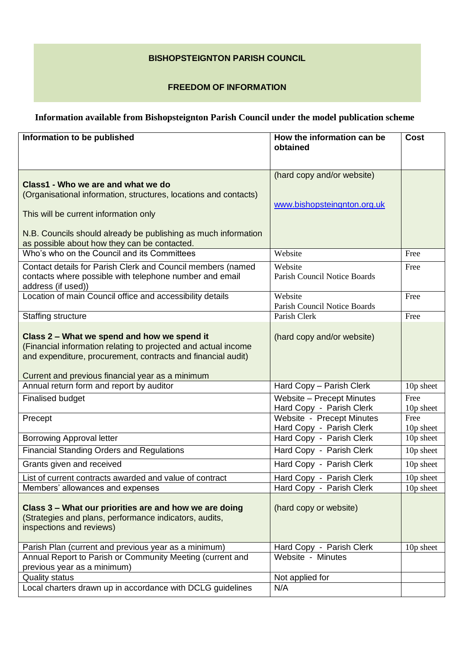## **BISHOPSTEIGNTON PARISH COUNCIL**

## **FREEDOM OF INFORMATION**

## **Information available from Bishopsteignton Parish Council under the model publication scheme**

| Information to be published                                                                                                                                                   | How the information can be<br>obtained                    | <b>Cost</b>       |
|-------------------------------------------------------------------------------------------------------------------------------------------------------------------------------|-----------------------------------------------------------|-------------------|
|                                                                                                                                                                               |                                                           |                   |
| Class1 - Who we are and what we do<br>(Organisational information, structures, locations and contacts)<br>This will be current information only                               | (hard copy and/or website)<br>www.bishopsteingnton.org.uk |                   |
| N.B. Councils should already be publishing as much information<br>as possible about how they can be contacted.                                                                |                                                           |                   |
| Who's who on the Council and its Committees                                                                                                                                   | Website                                                   | Free              |
| Contact details for Parish Clerk and Council members (named<br>contacts where possible with telephone number and email<br>address (if used))                                  | Website<br>Parish Council Notice Boards                   | Free              |
| Location of main Council office and accessibility details                                                                                                                     | Website<br>Parish Council Notice Boards                   | Free              |
| <b>Staffing structure</b>                                                                                                                                                     | Parish Clerk                                              | Free              |
| Class 2 - What we spend and how we spend it<br>(Financial information relating to projected and actual income<br>and expenditure, procurement, contracts and financial audit) | (hard copy and/or website)                                |                   |
| Current and previous financial year as a minimum<br>Annual return form and report by auditor                                                                                  | Hard Copy - Parish Clerk                                  | 10p sheet         |
|                                                                                                                                                                               |                                                           | Free              |
| <b>Finalised budget</b>                                                                                                                                                       | Website - Precept Minutes<br>Hard Copy - Parish Clerk     | 10p sheet         |
| Precept                                                                                                                                                                       | Website - Precept Minutes<br>Hard Copy - Parish Clerk     | Free<br>10p sheet |
| <b>Borrowing Approval letter</b>                                                                                                                                              | Hard Copy - Parish Clerk                                  | 10p sheet         |
| <b>Financial Standing Orders and Regulations</b>                                                                                                                              | Hard Copy - Parish Clerk                                  | 10p sheet         |
| Grants given and received                                                                                                                                                     | Hard Copy - Parish Clerk                                  | 10p sheet         |
| List of current contracts awarded and value of contract                                                                                                                       | Hard Copy - Parish Clerk                                  | 10p sheet         |
| Members' allowances and expenses                                                                                                                                              | Hard Copy - Parish Clerk                                  | 10p sheet         |
| Class 3 – What our priorities are and how we are doing<br>(Strategies and plans, performance indicators, audits,<br>inspections and reviews)                                  | (hard copy or website)                                    |                   |
| Parish Plan (current and previous year as a minimum)                                                                                                                          | Hard Copy - Parish Clerk                                  | 10p sheet         |
| Annual Report to Parish or Community Meeting (current and<br>previous year as a minimum)                                                                                      | Website - Minutes                                         |                   |
| <b>Quality status</b>                                                                                                                                                         | Not applied for                                           |                   |
| Local charters drawn up in accordance with DCLG guidelines                                                                                                                    | N/A                                                       |                   |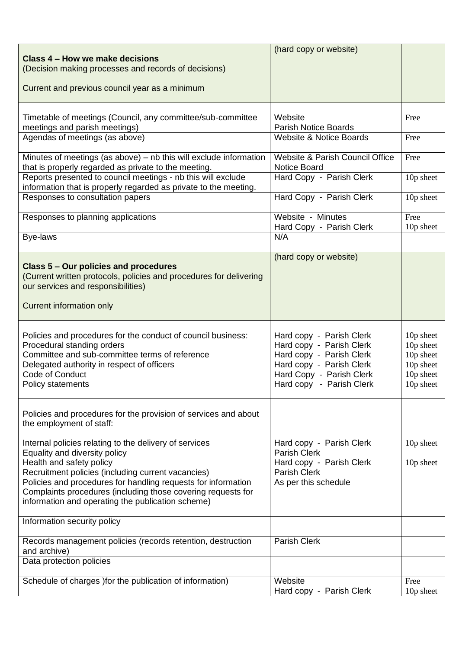| Class 4 - How we make decisions                                                                                                                                                                                                                                                                                                                                                                                                                                | (hard copy or website)                                                                                                                                               |                                                                            |
|----------------------------------------------------------------------------------------------------------------------------------------------------------------------------------------------------------------------------------------------------------------------------------------------------------------------------------------------------------------------------------------------------------------------------------------------------------------|----------------------------------------------------------------------------------------------------------------------------------------------------------------------|----------------------------------------------------------------------------|
| (Decision making processes and records of decisions)                                                                                                                                                                                                                                                                                                                                                                                                           |                                                                                                                                                                      |                                                                            |
| Current and previous council year as a minimum                                                                                                                                                                                                                                                                                                                                                                                                                 |                                                                                                                                                                      |                                                                            |
| Timetable of meetings (Council, any committee/sub-committee<br>meetings and parish meetings)                                                                                                                                                                                                                                                                                                                                                                   | Website<br><b>Parish Notice Boards</b>                                                                                                                               | Free                                                                       |
| Agendas of meetings (as above)                                                                                                                                                                                                                                                                                                                                                                                                                                 | <b>Website &amp; Notice Boards</b>                                                                                                                                   | Free                                                                       |
| Minutes of meetings (as above) - nb this will exclude information<br>that is properly regarded as private to the meeting.                                                                                                                                                                                                                                                                                                                                      | Website & Parish Council Office<br><b>Notice Board</b>                                                                                                               | Free                                                                       |
| Reports presented to council meetings - nb this will exclude<br>information that is properly regarded as private to the meeting.                                                                                                                                                                                                                                                                                                                               | Hard Copy - Parish Clerk                                                                                                                                             | 10p sheet                                                                  |
| Responses to consultation papers                                                                                                                                                                                                                                                                                                                                                                                                                               | Hard Copy - Parish Clerk                                                                                                                                             | 10p sheet                                                                  |
| Responses to planning applications                                                                                                                                                                                                                                                                                                                                                                                                                             | Website - Minutes<br>Hard Copy - Parish Clerk                                                                                                                        | Free<br>10p sheet                                                          |
| Bye-laws                                                                                                                                                                                                                                                                                                                                                                                                                                                       | N/A                                                                                                                                                                  |                                                                            |
| Class 5 – Our policies and procedures<br>(Current written protocols, policies and procedures for delivering<br>our services and responsibilities)<br><b>Current information only</b>                                                                                                                                                                                                                                                                           | (hard copy or website)                                                                                                                                               |                                                                            |
| Policies and procedures for the conduct of council business:<br>Procedural standing orders<br>Committee and sub-committee terms of reference<br>Delegated authority in respect of officers<br><b>Code of Conduct</b><br>Policy statements                                                                                                                                                                                                                      | Hard copy - Parish Clerk<br>Hard copy - Parish Clerk<br>Hard copy - Parish Clerk<br>Hard copy - Parish Clerk<br>Hard Copy - Parish Clerk<br>Hard copy - Parish Clerk | 10p sheet<br>10p sheet<br>10p sheet<br>10p sheet<br>10p sheet<br>10p sheet |
| Policies and procedures for the provision of services and about<br>the employment of staff:<br>Internal policies relating to the delivery of services<br>Equality and diversity policy<br>Health and safety policy<br>Recruitment policies (including current vacancies)<br>Policies and procedures for handling requests for information<br>Complaints procedures (including those covering requests for<br>information and operating the publication scheme) | Hard copy - Parish Clerk<br><b>Parish Clerk</b><br>Hard copy - Parish Clerk<br><b>Parish Clerk</b><br>As per this schedule                                           | 10p sheet<br>10p sheet                                                     |
| Information security policy                                                                                                                                                                                                                                                                                                                                                                                                                                    |                                                                                                                                                                      |                                                                            |
| Records management policies (records retention, destruction<br>and archive)                                                                                                                                                                                                                                                                                                                                                                                    | <b>Parish Clerk</b>                                                                                                                                                  |                                                                            |
| Data protection policies                                                                                                                                                                                                                                                                                                                                                                                                                                       |                                                                                                                                                                      |                                                                            |
| Schedule of charges ) for the publication of information)                                                                                                                                                                                                                                                                                                                                                                                                      | Website<br>Hard copy - Parish Clerk                                                                                                                                  | Free<br>10p sheet                                                          |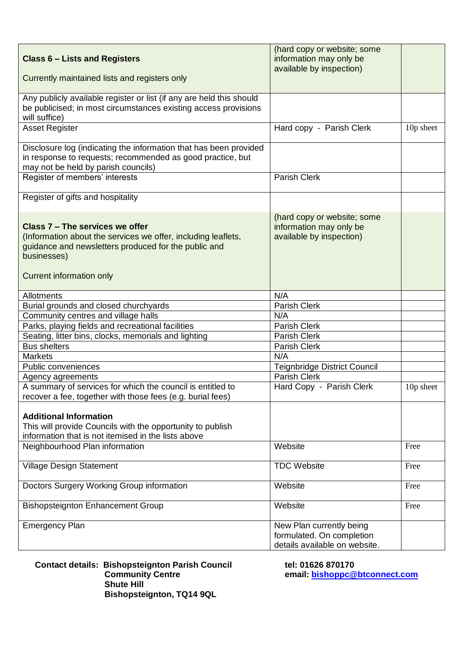| <b>Class 6 – Lists and Registers</b>                                                                                                                                                                | (hard copy or website; some<br>information may only be<br>available by inspection)     |           |
|-----------------------------------------------------------------------------------------------------------------------------------------------------------------------------------------------------|----------------------------------------------------------------------------------------|-----------|
| Currently maintained lists and registers only                                                                                                                                                       |                                                                                        |           |
| Any publicly available register or list (if any are held this should<br>be publicised; in most circumstances existing access provisions<br>will suffice)                                            |                                                                                        |           |
| <b>Asset Register</b>                                                                                                                                                                               | Hard copy - Parish Clerk                                                               | 10p sheet |
| Disclosure log (indicating the information that has been provided<br>in response to requests; recommended as good practice, but<br>may not be held by parish councils)                              |                                                                                        |           |
| Register of members' interests                                                                                                                                                                      | <b>Parish Clerk</b>                                                                    |           |
| Register of gifts and hospitality                                                                                                                                                                   |                                                                                        |           |
| Class 7 - The services we offer<br>(Information about the services we offer, including leaflets,<br>guidance and newsletters produced for the public and<br>businesses)<br>Current information only | (hard copy or website; some<br>information may only be<br>available by inspection)     |           |
| Allotments                                                                                                                                                                                          | N/A                                                                                    |           |
| Burial grounds and closed churchyards                                                                                                                                                               | <b>Parish Clerk</b>                                                                    |           |
| Community centres and village halls                                                                                                                                                                 | N/A                                                                                    |           |
| Parks, playing fields and recreational facilities                                                                                                                                                   | <b>Parish Clerk</b>                                                                    |           |
| Seating, litter bins, clocks, memorials and lighting                                                                                                                                                | <b>Parish Clerk</b>                                                                    |           |
| <b>Bus shelters</b>                                                                                                                                                                                 | Parish Clerk                                                                           |           |
| <b>Markets</b>                                                                                                                                                                                      | N/A                                                                                    |           |
| Public conveniences                                                                                                                                                                                 | <b>Teignbridge District Council</b>                                                    |           |
| Agency agreements                                                                                                                                                                                   | Parish Clerk                                                                           |           |
| A summary of services for which the council is entitled to<br>recover a fee, together with those fees (e.g. burial fees)                                                                            | Hard Copy - Parish Clerk                                                               | 10p sheet |
| <b>Additional Information</b><br>This will provide Councils with the opportunity to publish<br>information that is not itemised in the lists above                                                  |                                                                                        |           |
| Neighbourhood Plan information                                                                                                                                                                      | Website                                                                                | Free      |
| <b>Village Design Statement</b>                                                                                                                                                                     | <b>TDC Website</b>                                                                     | Free      |
| Doctors Surgery Working Group information                                                                                                                                                           | Website                                                                                | Free      |
| <b>Bishopsteignton Enhancement Group</b>                                                                                                                                                            | Website                                                                                | Free      |
| <b>Emergency Plan</b>                                                                                                                                                                               | New Plan currently being<br>formulated. On completion<br>details available on website. |           |

**Contact details: Bishopsteignton Parish Council tel: 01626 870170 Community Centre email: [bishoppc@btconnect.com](mailto:bishoppc@btconnect.com) Shute Hill Bishopsteignton, TQ14 9QL**